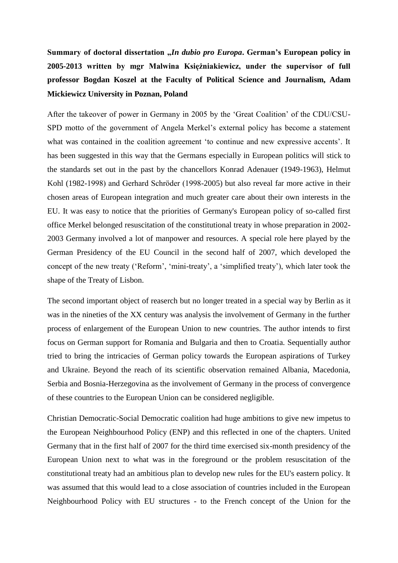Summary of doctoral dissertation *"In dubio pro Europa***.** German's European policy in **2005-2013 written by mgr Malwina Księżniakiewicz, under the supervisor of full professor Bogdan Koszel at the Faculty of Political Science and Journalism, Adam Mickiewicz University in Poznan, Poland**

After the takeover of power in Germany in 2005 by the 'Great Coalition' of the CDU/CSU-SPD motto of the government of Angela Merkel's external policy has become a statement what was contained in the coalition agreement 'to continue and new expressive accents'. It has been suggested in this way that the Germans especially in European politics will stick to the standards set out in the past by the chancellors Konrad Adenauer (1949-1963), Helmut Kohl (1982-1998) and Gerhard Schröder (1998-2005) but also reveal far more active in their chosen areas of European integration and much greater care about their own interests in the EU. It was easy to notice that the priorities of Germany's European policy of so-called first office Merkel belonged resuscitation of the constitutional treaty in whose preparation in 2002- 2003 Germany involved a lot of manpower and resources. A special role here played by the German Presidency of the EU Council in the second half of 2007, which developed the concept of the new treaty ('Reform', 'mini-treaty', a 'simplified treaty'), which later took the shape of the Treaty of Lisbon.

The second important object of reaserch but no longer treated in a special way by Berlin as it was in the nineties of the XX century was analysis the involvement of Germany in the further process of enlargement of the European Union to new countries. The author intends to first focus on German support for Romania and Bulgaria and then to Croatia. Sequentially author tried to bring the intricacies of German policy towards the European aspirations of Turkey and Ukraine. Beyond the reach of its scientific observation remained Albania, Macedonia, Serbia and Bosnia-Herzegovina as the involvement of Germany in the process of convergence of these countries to the European Union can be considered negligible.

Christian Democratic-Social Democratic coalition had huge ambitions to give new impetus to the European Neighbourhood Policy (ENP) and this reflected in one of the chapters. United Germany that in the first half of 2007 for the third time exercised six-month presidency of the European Union next to what was in the foreground or the problem resuscitation of the constitutional treaty had an ambitious plan to develop new rules for the EU's eastern policy. It was assumed that this would lead to a close association of countries included in the European Neighbourhood Policy with EU structures - to the French concept of the Union for the